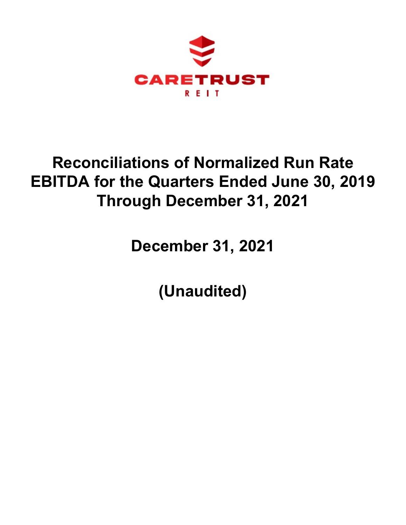

# **Reconciliations of Normalized Run Rate EBITDA for the Quarters Ended June 30, 2019 Through December 31, 2021**

**December 31, 2021**

**(Unaudited)**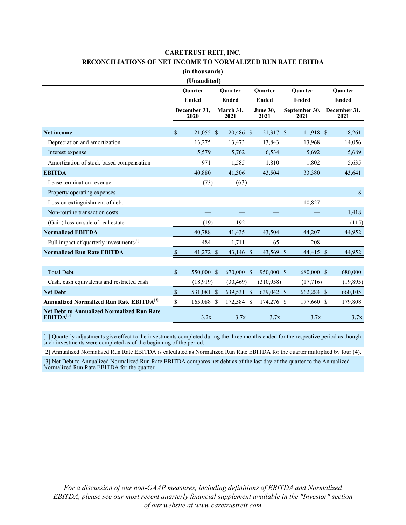#### **CARETRUST REIT, INC.**

## **RECONCILIATIONS OF NET INCOME TO NORMALIZED RUN RATE EBITDA**

**(in thousands)**

| (Unaudited)                                                                |                      |            |              |                   |  |                         |                       |            |  |                      |  |
|----------------------------------------------------------------------------|----------------------|------------|--------------|-------------------|--|-------------------------|-----------------------|------------|--|----------------------|--|
|                                                                            | <b>Ouarter</b>       |            |              | <b>Ouarter</b>    |  | <b>Ouarter</b>          |                       | Ouarter    |  | <b>Ouarter</b>       |  |
|                                                                            | <b>Ended</b>         |            | <b>Ended</b> |                   |  | <b>Ended</b>            | <b>Ended</b>          |            |  | <b>Ended</b>         |  |
|                                                                            | December 31,<br>2020 |            |              | March 31,<br>2021 |  | <b>June 30,</b><br>2021 | September 30,<br>2021 |            |  | December 31,<br>2021 |  |
| <b>Net income</b>                                                          | $\mathbf{\hat{s}}$   | 21,055 \$  |              | 20,486 \$         |  | 21,317 \$               |                       | 11,918 \$  |  | 18,261               |  |
| Depreciation and amortization                                              |                      | 13,275     |              | 13,473            |  | 13,843                  |                       | 13,968     |  | 14,056               |  |
| Interest expense                                                           |                      | 5,579      |              | 5,762             |  | 6,534                   |                       | 5,692      |  | 5,689                |  |
| Amortization of stock-based compensation                                   |                      | 971        |              | 1,585             |  | 1,810                   |                       | 1,802      |  | 5,635                |  |
| <b>EBITDA</b>                                                              |                      | 40,880     |              | 41,306            |  | 43,504                  |                       | 33,380     |  | 43,641               |  |
| Lease termination revenue                                                  |                      | (73)       |              | (63)              |  |                         |                       |            |  |                      |  |
| Property operating expenses                                                |                      |            |              |                   |  |                         |                       |            |  | 8                    |  |
| Loss on extinguishment of debt                                             |                      |            |              |                   |  |                         |                       | 10,827     |  |                      |  |
| Non-routine transaction costs                                              |                      |            |              |                   |  |                         |                       |            |  | 1,418                |  |
| (Gain) loss on sale of real estate                                         |                      | (19)       |              | 192               |  |                         |                       |            |  | (115)                |  |
| <b>Normalized EBITDA</b>                                                   |                      | 40,788     |              | 41,435            |  | 43,504                  |                       | 44,207     |  | 44,952               |  |
| Full impact of quarterly investments <sup>[1]</sup>                        |                      | 484        |              | 1,711             |  | 65                      |                       | 208        |  |                      |  |
| <b>Normalized Run Rate EBITDA</b>                                          | S                    | 41,272 \$  |              | 43,146 \$         |  | 43,569 \$               |                       | 44,415 \$  |  | 44,952               |  |
|                                                                            |                      |            |              |                   |  |                         |                       |            |  |                      |  |
| <b>Total Debt</b>                                                          | $\mathbf S$          | 550,000 \$ |              | 670,000 \$        |  | 950,000 \$              |                       | 680,000 \$ |  | 680,000              |  |
| Cash, cash equivalents and restricted cash                                 |                      | (18,919)   |              | (30, 469)         |  | (310,958)               |                       | (17,716)   |  | (19, 895)            |  |
| <b>Net Debt</b>                                                            | \$                   | 531,081 \$ |              | 639,531 \$        |  | 639,042 \$              |                       | 662,284 \$ |  | 660,105              |  |
| Annualized Normalized Run Rate EBITDA <sup>[2]</sup>                       | \$                   | 165,088 \$ |              | 172,584 \$        |  | 174,276 \$              |                       | 177,660 \$ |  | 179,808              |  |
| <b>Net Debt to Annualized Normalized Run Rate</b><br>EBITDA <sup>[3]</sup> |                      | 3.2x       |              | 3.7x              |  | 3.7x                    |                       | 3.7x       |  | 3.7x                 |  |

[1] Quarterly adjustments give effect to the investments completed during the three months ended for the respective period as though such investments were completed as of the beginning of the period.

[2] Annualized Normalized Run Rate EBITDA is calculated as Normalized Run Rate EBITDA for the quarter multiplied by four (4).

[3] Net Debt to Annualized Normalized Run Rate EBITDA compares net debt as of the last day of the quarter to the Annualized Normalized Run Rate EBITDA for the quarter.